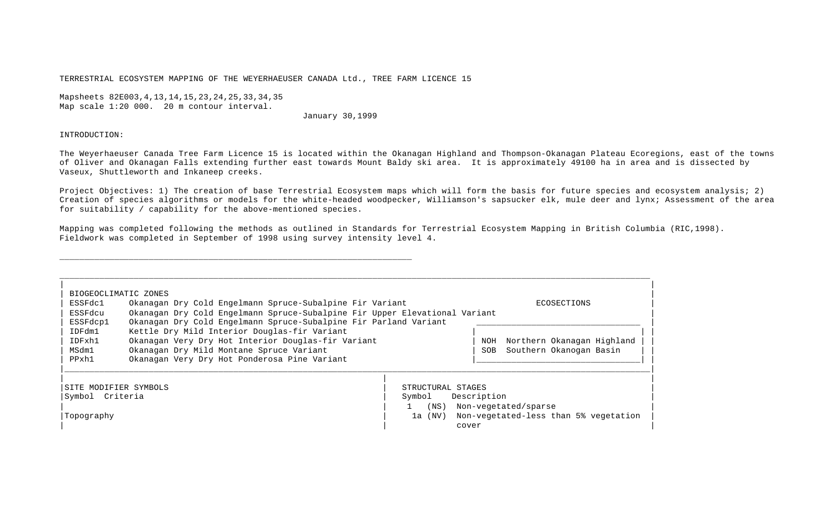TERRESTRIAL ECOSYSTEM MAPPING OF THE WEYERHAEUSER CANADA Ltd., TREE FARM LICENCE 15

\_\_\_\_\_\_\_\_\_\_\_\_\_\_\_\_\_\_\_\_\_\_\_\_\_\_\_\_\_\_\_\_\_\_\_\_\_\_\_\_\_\_\_\_\_\_\_\_\_\_\_\_\_\_\_\_\_\_\_\_\_\_\_\_\_\_\_\_\_\_\_

Mapsheets 82E003,4,13,14,15,23,24,25,33,34,35 Map scale 1:20 000. 20 m contour interval.

# January 30,1999

### INTRODUCTION:

The Weyerhaeuser Canada Tree Farm Licence 15 is located within the Okanagan Highland and Thompson-Okanagan Plateau Ecoregions, east of the towns of Oliver and Okanagan Falls extending further east towards Mount Baldy ski area. It is approximately 49100 ha in area and is dissected by Vaseux, Shuttleworth and Inkaneep creeks.

Project Objectives: 1) The creation of base Terrestrial Ecosystem maps which will form the basis for future species and ecosystem analysis; 2) Creation of species algorithms or models for the white-headed woodpecker, Williamson's sapsucker elk, mule deer and lynx; Assessment of the area for suitability / capability for the above-mentioned species.

Mapping was completed following the methods as outlined in Standards for Terrestrial Ecosystem Mapping in British Columbia (RIC,1998). Fieldwork was completed in September of 1998 using survey intensity level 4.

| BIOGEOCLIMATIC ZONES<br>ESSFdc1<br>ESSFdcu<br>ESSFdcp1                                                                                                                                                                               | Okanagan Dry Cold Engelmann Spruce-Subalpine Fir Variant<br>Okanagan Dry Cold Engelmann Spruce-Subalpine Fir Upper Elevational Variant<br>Okanagan Dry Cold Engelmann Spruce-Subalpine Fir Parland Variant |                                                      |                      | ECOSECTIONS                                                   |
|--------------------------------------------------------------------------------------------------------------------------------------------------------------------------------------------------------------------------------------|------------------------------------------------------------------------------------------------------------------------------------------------------------------------------------------------------------|------------------------------------------------------|----------------------|---------------------------------------------------------------|
| Kettle Dry Mild Interior Douglas-fir Variant<br>IDFdm1<br>Okanagan Very Dry Hot Interior Douglas-fir Variant<br>IDFxh1<br>MSdm1<br>Okanagan Dry Mild Montane Spruce Variant<br>PPxh1<br>Okanagan Very Dry Hot Ponderosa Pine Variant |                                                                                                                                                                                                            |                                                      |                      | Northern Okanagan Highland<br>Southern Okanogan Basin         |
| SITE MODIFIER SYMBOLS<br>Symbol Criteria<br>  Topoqraphy                                                                                                                                                                             |                                                                                                                                                                                                            | STRUCTURAL STAGES<br>Symbol<br>$($ NS $)$<br>la (NV) | Description<br>cover | Non-vegetated/sparse<br>Non-vegetated-less than 5% vegetation |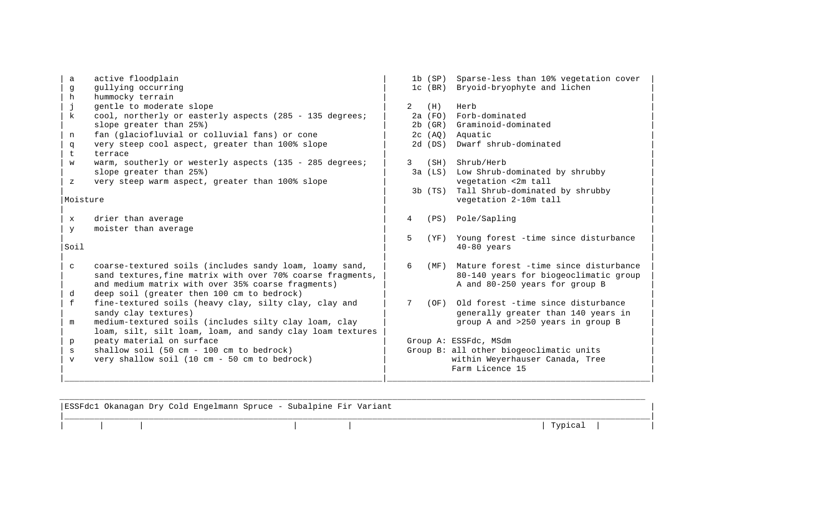| a            | active floodplain                                          |                 | 1b(SP)      | Sparse-less than 10% vegetation cover   |
|--------------|------------------------------------------------------------|-----------------|-------------|-----------------------------------------|
| g            | gullying occurring                                         |                 | $1c$ (BR)   | Bryoid-bryophyte and lichen             |
| h            | hummocky terrain                                           |                 |             |                                         |
| h            | gentle to moderate slope                                   | 2               | (H)         | Herb                                    |
| k            | cool, northerly or easterly aspects (285 - 135 degrees;    |                 | $2a$ (FO)   | Forb-dominated                          |
|              | slope greater than 25%)                                    |                 | $2b$ (GR)   | Graminoid-dominated                     |
| n            | fan (glaciofluvial or colluvial fans) or cone              |                 | 2c(AO)      | Aquatic                                 |
| q<br>t.      | very steep cool aspect, greater than 100% slope<br>terrace |                 | 2d(DS)      | Dwarf shrub-dominated                   |
| W            | warm, southerly or westerly aspects (135 - 285 degrees;    | 3               | (SH)        | Shrub/Herb                              |
|              | slope greater than 25%)                                    |                 | $3a$ (LS)   | Low Shrub-dominated by shrubby          |
| Ζ            | very steep warm aspect, greater than 100% slope            |                 |             | vegetation <2m tall                     |
|              |                                                            |                 | $3b$ $(TS)$ | Tall Shrub-dominated by shrubby         |
| Moisture     |                                                            |                 |             | vegetation 2-10m tall                   |
|              |                                                            |                 |             |                                         |
| $\mathbf x$  | drier than average                                         | 4               | (PS)        | Pole/Sapling                            |
| y            | moister than average                                       |                 |             |                                         |
|              |                                                            | 5               | ( YF )      | Young forest -time since disturbance    |
| Soil         |                                                            |                 |             | $40-80$ years                           |
|              |                                                            |                 |             |                                         |
| C            | coarse-textured soils (includes sandy loam, loamy sand,    | 6               | (MF)        | Mature forest -time since disturbance   |
|              | sand textures, fine matrix with over 70% coarse fragments, |                 |             | 80-140 years for biogeoclimatic group   |
|              | and medium matrix with over 35% coarse fragments)          |                 |             | A and 80-250 years for group B          |
| d            | deep soil (greater then 100 cm to bedrock)                 |                 |             |                                         |
| f            | fine-textured soils (heavy clay, silty clay, clay and      | $7\overline{ }$ | (OF)        | Old forest -time since disturbance      |
|              | sandy clay textures)                                       |                 |             | generally greater than 140 years in     |
| m            | medium-textured soils (includes silty clay loam, clay      |                 |             | group A and >250 years in group B       |
|              | loam, silt, silt loam, loam, and sandy clay loam textures  |                 |             |                                         |
| p            | peaty material on surface                                  |                 |             | Group A: ESSFdc, MSdm                   |
| S            | shallow soil (50 cm - 100 cm to bedrock)                   |                 |             | Group B: all other biogeoclimatic units |
| $\mathbf{v}$ | very shallow soil (10 cm - 50 cm to bedrock)               |                 |             | within Weyerhauser Canada, Tree         |
|              |                                                            |                 |             | Farm Licence 15                         |
|              |                                                            |                 |             |                                         |

|  | ESSFdcl Okanagan Dry Cold Engelmann Spruce - Subalpine Fir Variant |  |         |  |
|--|--------------------------------------------------------------------|--|---------|--|
|  |                                                                    |  | Typical |  |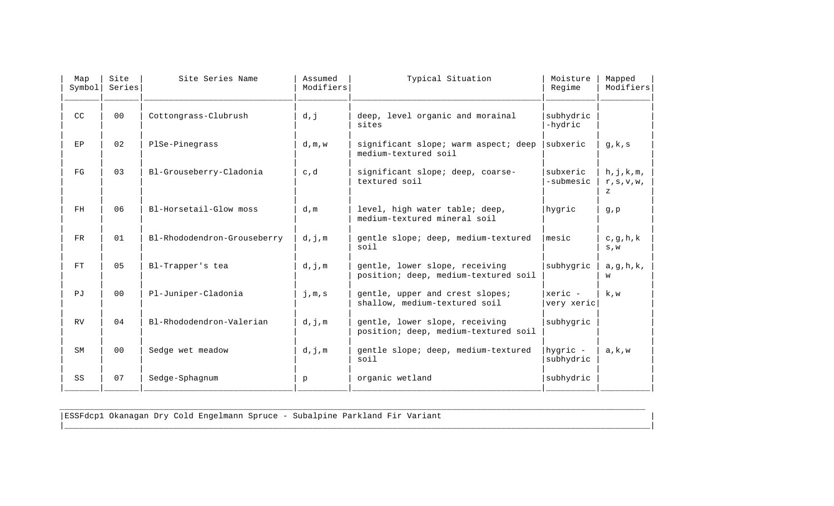| Map<br>Symbol | Site<br>Series | Site Series Name            | Assumed<br>Modifiers | Typical Situation                                                      | Moisture<br>Regime    | Mapped<br>Modifiers             |
|---------------|----------------|-----------------------------|----------------------|------------------------------------------------------------------------|-----------------------|---------------------------------|
| CC            | 0 <sub>0</sub> | Cottongrass-Clubrush        | d,j                  | deep, level organic and morainal<br>sites                              | subhydric<br>-hydric  |                                 |
| EP            | 02             | PlSe-Pinegrass              | d, m, w              | significant slope; warm aspect; deep<br>medium-textured soil           | subxeric              | g, k, s                         |
| FG            | 03             | Bl-Grouseberry-Cladonia     | c,d                  | significant slope; deep, coarse-<br>textured soil                      | subxeric<br>-submesic | h, j, k, m,<br>r, s, v, w,<br>z |
| FH            | 06             | Bl-Horsetail-Glow moss      | d, m                 | level, high water table; deep,<br>medium-textured mineral soil         | hygric                | q, p                            |
| <b>FR</b>     | 01             | Bl-Rhododendron-Grouseberry | d,j,m                | gentle slope; deep, medium-textured<br>soil                            | mesic                 | c, g, h, k<br>S, W              |
| FT            | 0 <sub>5</sub> | Bl-Trapper's tea            | d,j,m                | gentle, lower slope, receiving<br>position; deep, medium-textured soil | subhygric             | a, g, h, k,<br>w                |
| PJ            | 0 <sub>0</sub> | Pl-Juniper-Cladonia         | $j$ , $m$ , s        | gentle, upper and crest slopes;<br>shallow, medium-textured soil       | xeric -<br>very xeric | k, w                            |
| RV.           | 04             | Bl-Rhododendron-Valerian    | d,j,m                | gentle, lower slope, receiving<br>position; deep, medium-textured soil | subhygric             |                                 |
| SM            | 0 <sub>0</sub> | Sedge wet meadow            | d,j,m                | gentle slope; deep, medium-textured<br>soil                            | hygric -<br>subhydric | a, k, w                         |
| SS            | 07             | Sedge-Sphagnum              | p                    | organic wetland                                                        | subhydric             |                                 |

\_\_\_\_\_\_\_\_\_\_\_\_\_\_\_\_\_\_\_\_\_\_\_\_\_\_\_\_\_\_\_\_\_\_\_\_\_\_\_\_\_\_\_\_\_\_\_\_\_\_\_\_\_\_\_\_\_\_\_\_\_\_\_\_\_\_\_\_\_\_\_\_\_\_\_\_\_\_\_\_\_\_\_\_\_\_\_\_\_\_\_\_\_\_\_\_\_\_\_\_\_\_\_\_\_\_\_\_\_\_\_\_\_\_\_\_\_\_

|\_\_\_\_\_\_\_\_\_\_\_\_\_\_\_\_\_\_\_\_\_\_\_\_\_\_\_\_\_\_\_\_\_\_\_\_\_\_\_\_\_\_\_\_\_\_\_\_\_\_\_\_\_\_\_\_\_\_\_\_\_\_\_\_\_\_\_\_\_\_\_\_\_\_\_\_\_\_\_\_\_\_\_\_\_\_\_\_\_\_\_\_\_\_\_\_\_\_\_\_\_\_\_\_\_\_\_\_\_\_\_\_\_\_\_\_\_\_|

|ESSFdcp1 Okanagan Dry Cold Engelmann Spruce - Subalpine Parkland Fir Variant |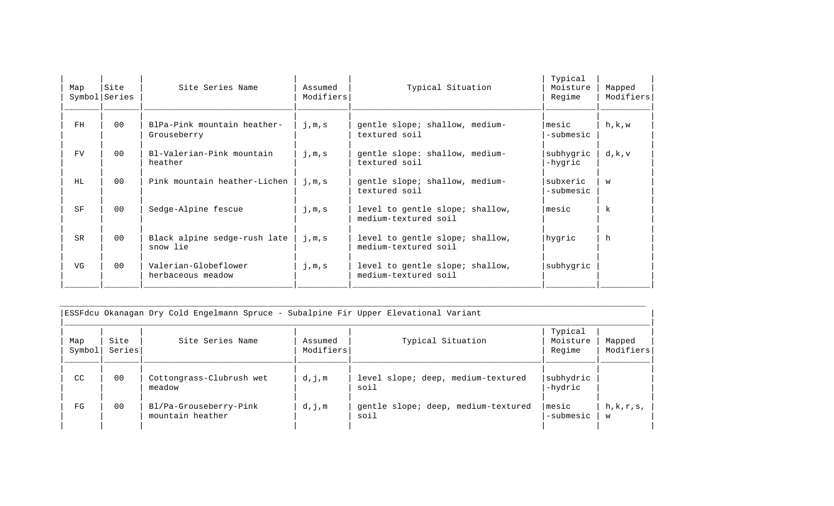| Site<br>Symbol Series | Site Series Name                           | Assumed<br>Modifiers | Typical Situation                                       | Typical<br>Moisture<br>Regime | Mapped<br>Modifiers |
|-----------------------|--------------------------------------------|----------------------|---------------------------------------------------------|-------------------------------|---------------------|
| 0 <sub>0</sub>        | BlPa-Pink mountain heather-<br>Grouseberry | j,m,s                | gentle slope; shallow, medium-<br>textured soil         | mesic<br>-submesic            | h, k, w             |
| 0 <sub>0</sub>        | Bl-Valerian-Pink mountain<br>heather       | j,m,s                | gentle slope: shallow, medium-<br>textured soil         | subhygric<br>-hygric          | d, k, v             |
| 0 <sub>0</sub>        | Pink mountain heather-Lichen               | j,m,s                | gentle slope; shallow, medium-<br>textured soil         | subxeric<br>-submesic         | W                   |
| 0 <sub>0</sub>        | Sedge-Alpine fescue                        | j,m,s                | level to gentle slope; shallow,<br>medium-textured soil | mesic                         | $\mathbf{k}$        |
| 0 <sub>0</sub>        | Black alpine sedge-rush late<br>snow lie   | j,m,s                | level to gentle slope; shallow,<br>medium-textured soil | hygric                        | h                   |
| 0 <sub>0</sub>        | Valerian-Globeflower<br>herbaceous meadow  | j,m,s                | level to gentle slope; shallow,<br>medium-textured soil | subhygric                     |                     |
|                       |                                            |                      |                                                         |                               |                     |

| Map<br>Symbol | Site<br>Series | Site Series Name                           | Assumed<br>Modifiers | Typical Situation                           | Typical<br>Moisture<br>Regime | Mapped<br>Modifiers |
|---------------|----------------|--------------------------------------------|----------------------|---------------------------------------------|-------------------------------|---------------------|
| CC            | 0 <sub>0</sub> | Cottongrass-Clubrush wet<br>meadow         | d,j,m                | level slope; deep, medium-textured<br>soil  | subhydric<br>-hydric          |                     |
| FG            | 00             | Bl/Pa-Grouseberry-Pink<br>mountain heather | d,j,m                | gentle slope; deep, medium-textured<br>soil | mesic<br>-submesic            | h,k,r,s,<br>W       |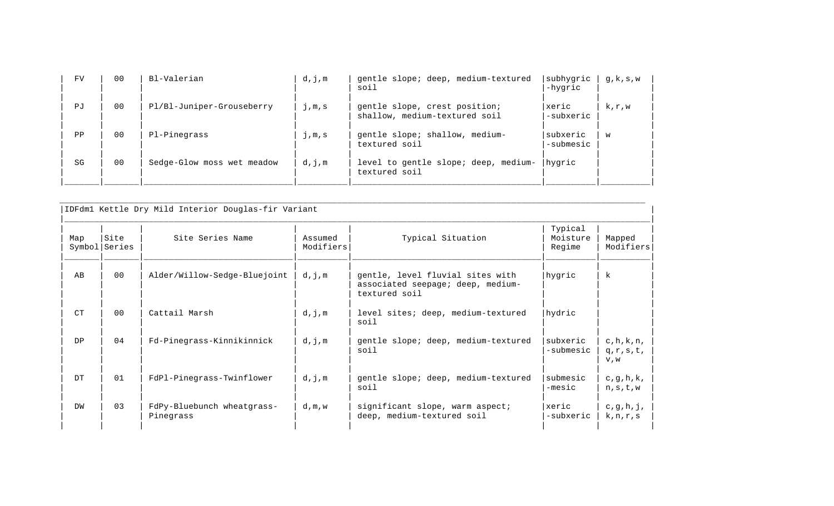| <b>FV</b> | 0 <sub>0</sub> | Bl-Valerian                | d,j,m | gentle slope; deep, medium-textured<br>soil                    | subhygric<br>-hygric  | q, $k$ , $s$ , $w$ |
|-----------|----------------|----------------------------|-------|----------------------------------------------------------------|-----------------------|--------------------|
| PJ        | 0 <sub>0</sub> | Pl/Bl-Juniper-Grouseberry  | j,m,s | gentle slope, crest position;<br>shallow, medium-textured soil | xeric <br>-subxeric   | k, r, w            |
| PP        | 0 <sup>0</sup> | Pl-Pinegrass               | j,m,s | gentle slope; shallow, medium-<br>textured soil                | subxeric<br>-submesic | w                  |
| SG        | 0 <sup>0</sup> | Sedge-Glow moss wet meadow | d,j,m | level to gentle slope; deep, medium-<br>textured soil          | hygric                |                    |

| Map | Site<br>Symbol Series | Site Series Name                        | Assumed<br>Modifiers | Typical Situation                                                                      | Typical<br>Moisture<br>Regime | Mapped<br>Modifiers                |
|-----|-----------------------|-----------------------------------------|----------------------|----------------------------------------------------------------------------------------|-------------------------------|------------------------------------|
| AB  | 0 <sub>0</sub>        | Alder/Willow-Sedge-Bluejoint            | d,j,m                | gentle, level fluvial sites with<br>associated seepage; deep, medium-<br>textured soil | hygric                        | $\mathbf{k}$                       |
| CT  | 0 <sub>0</sub>        | Cattail Marsh                           | d,j,m                | level sites; deep, medium-textured<br>soil                                             | hydric                        |                                    |
| DP  | 0 <sub>4</sub>        | Fd-Pinegrass-Kinnikinnick               | d,j,m                | gentle slope; deep, medium-textured<br>soil                                            | subxeric<br>-submesic         | c, h, k, n,<br>$q,r,s,t$ ,<br>V, W |
| DT  | 01                    | FdPl-Pinegrass-Twinflower               | d,j,m                | gentle slope; deep, medium-textured<br>soil                                            | submesic<br>$-mesic$          | c, g, h, k,<br>n, s, t, w          |
| DW  | 0 <sub>3</sub>        | FdPy-Bluebunch wheatgrass-<br>Pinegrass | d,m,w                | significant slope, warm aspect;<br>deep, medium-textured soil                          | xeric<br>-subxeric            | c, g, h, j,<br>k, n, r, s          |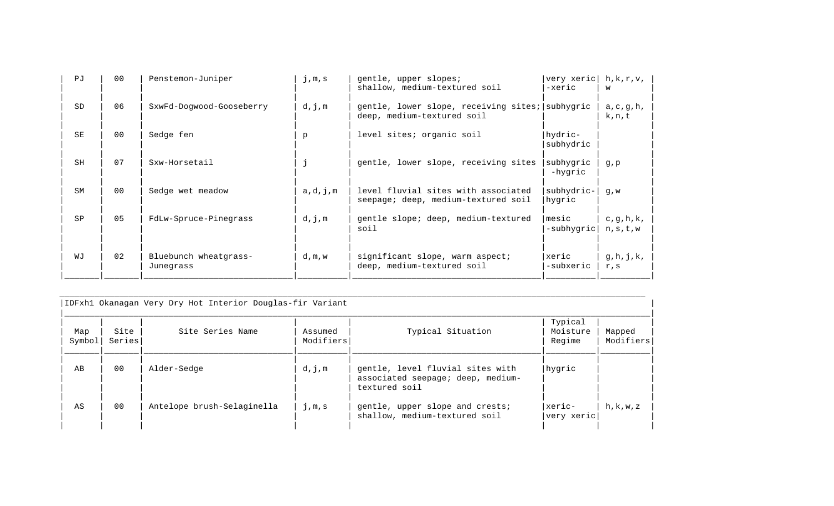| P <sub>U</sub> | 0 <sub>0</sub> | Penstemon-Juniper                  | j,m,s   | gentle, upper slopes;                                                         | very xeric           | h, k, r, v,               |
|----------------|----------------|------------------------------------|---------|-------------------------------------------------------------------------------|----------------------|---------------------------|
|                |                |                                    |         | shallow, medium-textured soil                                                 | -xeric               | W                         |
| <b>SD</b>      | 06             | SxwFd-Dogwood-Gooseberry           | d,j,m   | gentle, lower slope, receiving sites; subhygric<br>deep, medium-textured soil |                      | a, c, g, h,<br>k, n, t    |
| <b>SE</b>      | 0 <sub>0</sub> | Sedge fen                          | p       | level sites; organic soil                                                     | hydric-<br>subhydric |                           |
| SH             | 07             | Sxw-Horsetail                      |         | gentle, lower slope, receiving sites                                          | subhygric<br>-hygric | g, p                      |
| <b>SM</b>      | 0 <sub>0</sub> | Sedge wet meadow                   | a,d,j,m | level fluvial sites with associated<br>seepage; deep, medium-textured soil    | subhydric-<br>hygric | $q$ , $w$                 |
| SP             | 0 <sub>5</sub> | FdLw-Spruce-Pinegrass              | d,j,m   | gentle slope; deep, medium-textured<br>soil                                   | mesic<br>-subhygric  | c, g, h, k,<br>n, s, t, w |
| WJ             | 02             | Bluebunch wheatgrass-<br>Junegrass | d, m, w | significant slope, warm aspect;<br>deep, medium-textured soil                 | xeric<br>-subxeric   | g,h,j,k,<br>r, s          |

|               |                | IDFxhl Okanagan Very Dry Hot Interior Douglas-fir Variant |                      |                                                                                        |                               |                     |
|---------------|----------------|-----------------------------------------------------------|----------------------|----------------------------------------------------------------------------------------|-------------------------------|---------------------|
| Map<br>Symbol | Site<br>Series | Site Series Name                                          | Assumed<br>Modifiers | Typical Situation                                                                      | Typical<br>Moisture<br>Regime | Mapped<br>Modifiers |
| AB            | 0 <sub>0</sub> | Alder-Sedge                                               | d,j,m                | gentle, level fluvial sites with<br>associated seepage; deep, medium-<br>textured soil | hygric                        |                     |
| AS            | 0 <sub>0</sub> | Antelope brush-Selaginella                                | j,m,s                | gentle, upper slope and crests;<br>shallow, medium-textured soil                       | xeric-<br>very xeric          | h, k, w, z          |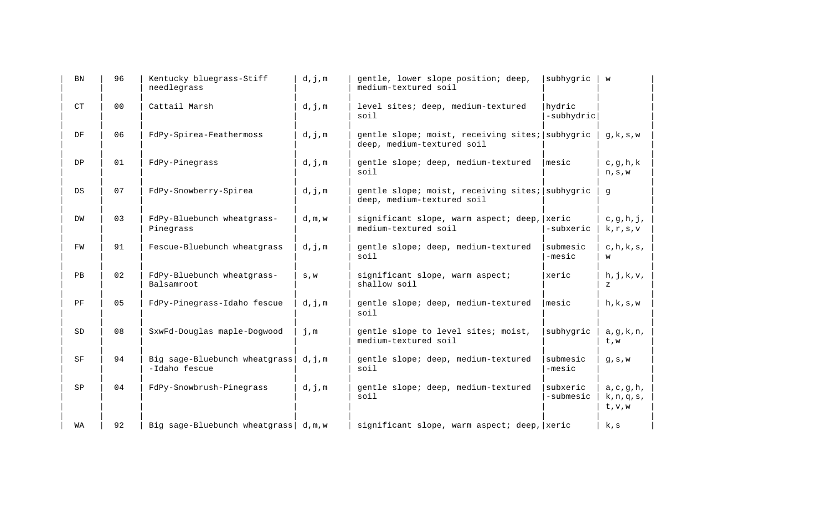| <b>BN</b> | 96             | Kentucky bluegrass-Stiff<br>needlegrass        | d,j,m                       | gentle, lower slope position; deep,<br>medium-textured soil                   | subhygric             | W                                                        |
|-----------|----------------|------------------------------------------------|-----------------------------|-------------------------------------------------------------------------------|-----------------------|----------------------------------------------------------|
| CT        | 0 <sub>0</sub> | Cattail Marsh                                  | d,j,m                       | level sites; deep, medium-textured<br>soil                                    | hydric<br>-subhydric  |                                                          |
| DF        | 06             | FdPy-Spirea-Feathermoss                        | d,j,m                       | gentle slope; moist, receiving sites; subhygric<br>deep, medium-textured soil |                       | g, k, s, w                                               |
| DP        | 01             | FdPy-Pinegrass                                 | d,j,m                       | gentle slope; deep, medium-textured<br>soil                                   | mesic                 | c, g, h, k<br>$\texttt{n}$ , $\texttt{s}$ , $\texttt{w}$ |
| DS        | 07             | FdPy-Snowberry-Spirea                          | d,j,m                       | gentle slope; moist, receiving sites; subhygric<br>deep, medium-textured soil |                       | g                                                        |
| DW        | 03             | FdPy-Bluebunch wheatgrass-<br>Pinegrass        | d, m, w                     | significant slope, warm aspect; deep, xeric<br>medium-textured soil           | -subxeric             | c, g, h, j,<br>k, r, s, v                                |
| FW        | 91             | Fescue-Bluebunch wheatgrass                    | d,j,m                       | gentle slope; deep, medium-textured<br>soil                                   | submesic<br>$-mesic$  | c, h, k, s,<br>W                                         |
| PB        | 02             | FdPy-Bluebunch wheatgrass-<br>Balsamroot       | $\mathtt{S}$ , $\mathtt{W}$ | significant slope, warm aspect;<br>shallow soil                               | xeric                 | h, j, k, v,<br>$\mathbf{z}$                              |
| PF        | 05             | FdPy-Pinegrass-Idaho fescue                    | d,j,m                       | gentle slope; deep, medium-textured<br>soil                                   | mesic                 | h, k, s, w                                               |
| SD        | 08             | SxwFd-Douglas maple-Dogwood                    | j,m                         | gentle slope to level sites; moist,<br>medium-textured soil                   | subhygric             | a, g, k, n,<br>t, w                                      |
| SF        | 94             | Big sage-Bluebunch wheatgrass<br>-Idaho fescue | d,j,m                       | gentle slope; deep, medium-textured<br>soil                                   | submesic<br>-mesic    | g, s, w                                                  |
| SP        | 04             | FdPy-Snowbrush-Pinegrass                       | d,j,m                       | gentle slope; deep, medium-textured<br>soil                                   | subxeric<br>-submesic | a, c, g, h,<br>$k, n, q, s$ ,<br>t, v, w                 |
| WA        | 92             | Big sage-Bluebunch wheatgrass                  | d, m, w                     | significant slope, warm aspect; deep, xeric                                   |                       | k,s                                                      |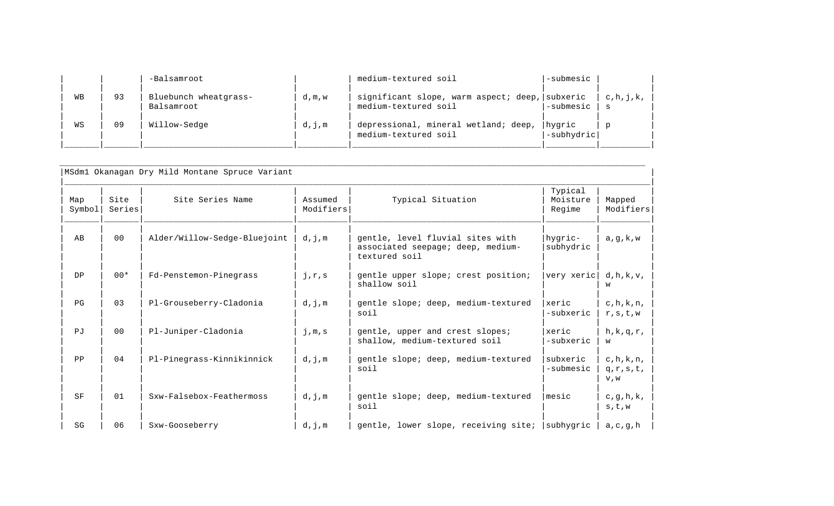|    |    | -Balsamroot                         |       | medium-textured soil                                                   | -submesic            |             |
|----|----|-------------------------------------|-------|------------------------------------------------------------------------|----------------------|-------------|
| WВ | 93 | Bluebunch wheatgrass-<br>Balsamroot | d,m,w | significant slope, warm aspect; deep, subxeric<br>medium-textured soil | -submesic            | c, h, i, k, |
| WS | 09 | Willow-Sedge                        | d,j,m | depressional, mineral wetland; deep,<br>medium-textured soil           | hygric<br>-subhydric |             |

|                |                |                              |                      |                                                                                        | Typical               |                                       |
|----------------|----------------|------------------------------|----------------------|----------------------------------------------------------------------------------------|-----------------------|---------------------------------------|
| Map<br>Symbol  | Site<br>Series | Site Series Name             | Assumed<br>Modifiers | Typical Situation                                                                      | Moisture<br>Regime    | Mapped<br>Modifiers                   |
| AB             | 0 <sub>0</sub> | Alder/Willow-Sedge-Bluejoint | d,j,m                | gentle, level fluvial sites with<br>associated seepage; deep, medium-<br>textured soil | hygric-<br>subhydric  | a, q, k, w                            |
| DP             | $00*$          | Fd-Penstemon-Pinegrass       | j, r, s              | gentle upper slope; crest position;<br>shallow soil                                    | very xeric            | d,h,k,v,<br>W                         |
| PG             | 0 <sub>3</sub> | Pl-Grouseberry-Cladonia      | d,j,m                | gentle slope; deep, medium-textured<br>soil                                            | xeric<br>-subxeric    | $c, h, k, n$ ,<br>r, s, t, w          |
| P <sub>1</sub> | 0 <sub>0</sub> | Pl-Juniper-Cladonia          | $j$ , $m$ , s        | gentle, upper and crest slopes;<br>shallow, medium-textured soil                       | xeric<br>-subxeric    | $h, k, q, r$ ,<br>w                   |
| PP             | 0 <sub>4</sub> | Pl-Pinegrass-Kinnikinnick    | d,j,m                | gentle slope; deep, medium-textured<br>soil                                            | subxeric<br>-submesic | $c, h, k, n$ ,<br>$q,r,s,t$ ,<br>V, W |
| SF             | 01             | Sxw-Falsebox-Feathermoss     | d,j,m                | gentle slope; deep, medium-textured<br>soil                                            | mesic                 | c, g, h, k,<br>s, t, w                |
| SG             | 06             | Sxw-Gooseberry               | d,j,m                | gentle, lower slope, receiving site;                                                   | subhygric             | a, c, g, h                            |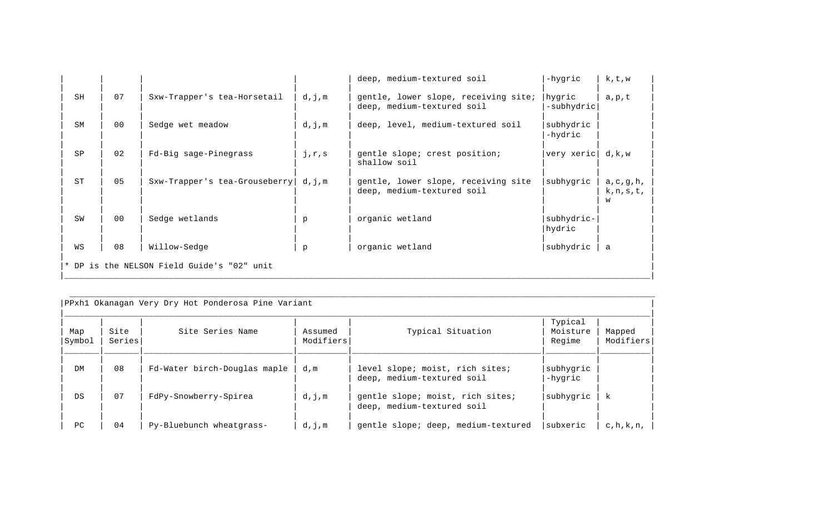|                                            |                |                               |         | deep, medium-textured soil                                         | -hygric              | k,t,w                              |
|--------------------------------------------|----------------|-------------------------------|---------|--------------------------------------------------------------------|----------------------|------------------------------------|
| SH                                         | 07             | Sxw-Trapper's tea-Horsetail   | d,j,m   | gentle, lower slope, receiving site;<br>deep, medium-textured soil | hygric<br>-subhydric | a,p,t                              |
| <b>SM</b>                                  | 0 <sub>0</sub> | Sedge wet meadow              | d,j,m   | deep, level, medium-textured soil                                  | subhydric<br>-hydric |                                    |
| SP                                         | 02             | Fd-Big sage-Pinegrass         | j, r, s | gentle slope; crest position;<br>shallow soil                      | very xeric           | d, k, w                            |
| <b>ST</b>                                  | 0 <sub>5</sub> | Sxw-Trapper's tea-Grouseberry | d,j,m   | gentle, lower slope, receiving site<br>deep, medium-textured soil  | subhygric            | a, c, g, h,<br>$k, n, s, t$ ,<br>W |
| SW                                         | 0 <sub>0</sub> | Sedge wetlands                | p       | organic wetland                                                    | subhydric-<br>hydric |                                    |
| WS                                         | 08             | Willow-Sedge                  | p       | organic wetland                                                    | subhydric            | a                                  |
| * DP is the NELSON Field Guide's "02" unit |                |                               |         |                                                                    |                      |                                    |

|                | PPxh1 Okanagan Very Dry Hot Ponderosa Pine Variant |                              |                      |                                                                |                               |                     |  |  |
|----------------|----------------------------------------------------|------------------------------|----------------------|----------------------------------------------------------------|-------------------------------|---------------------|--|--|
| Map<br> Symbol | Site<br>Series                                     | Site Series Name             | Assumed<br>Modifiers | Typical Situation                                              | Typical<br>Moisture<br>Regime | Mapped<br>Modifiers |  |  |
| DM             | 08                                                 | Fd-Water birch-Douglas maple | d,m                  | level slope; moist, rich sites;<br>deep, medium-textured soil  | subhygric<br>-hygric          |                     |  |  |
| DS             | 07                                                 | FdPy-Snowberry-Spirea        | d,j,m                | gentle slope; moist, rich sites;<br>deep, medium-textured soil | subhygric                     | k                   |  |  |
| PC             | 04                                                 | Py-Bluebunch wheatgrass-     | d,j,m                | gentle slope; deep, medium-textured                            | subxeric                      | $c, h, k, n$ ,      |  |  |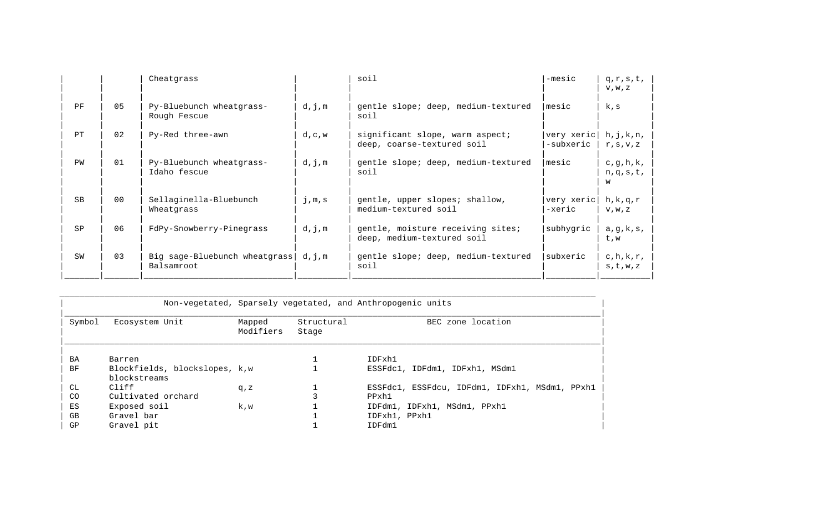|    |                | Cheatgrass                                  |         | soil                                                            | $-mesic$                | $q,r,s,t$ ,<br>V, W, Z          |
|----|----------------|---------------------------------------------|---------|-----------------------------------------------------------------|-------------------------|---------------------------------|
| PF | 0 <sub>5</sub> | Py-Bluebunch wheatgrass-<br>Rough Fescue    | d,j,m   | gentle slope; deep, medium-textured<br>soil                     | Imesic                  | k,s                             |
| PT | 02             | Py-Red three-awn                            | d, c, w | significant slope, warm aspect;<br>deep, coarse-textured soil   | very xeric<br>-subxeric | h, j, k, n,<br>r, s, v, z       |
| PW | 01             | Py-Bluebunch wheatgrass-<br>Idaho fescue    | d,j,m   | gentle slope; deep, medium-textured<br>soil                     | mesic                   | c, g, h, k,<br>$n,q,s,t$ ,<br>W |
| SB | 0 <sub>0</sub> | Sellaginella-Bluebunch<br>Wheatgrass        | j,m,s   | gentle, upper slopes; shallow,<br>medium-textured soil          | very xeric<br>-xeric    | h, k, q, r<br>V, W, Z           |
| SP | 06             | FdPy-Snowberry-Pinegrass                    | d,j,m   | gentle, moisture receiving sites;<br>deep, medium-textured soil | subhygric               | a, g, k, s,<br>t, w             |
| SW | 0 <sub>3</sub> | Big sage-Bluebunch wheatgrass<br>Balsamroot | d,j,m   | gentle slope; deep, medium-textured<br>soil                     | subxeric                | $c, h, k, r$ ,<br>s, t, w, z    |

|           | Non-vegetated, Sparsely vegetated, and Anthropogenic units |                     |                     |                                                |
|-----------|------------------------------------------------------------|---------------------|---------------------|------------------------------------------------|
| Symbol    | Ecosystem Unit                                             | Mapped<br>Modifiers | Structural<br>Stage | BEC zone location                              |
| BA        | Barren                                                     |                     |                     | IDFxh1                                         |
| <b>BF</b> | Blockfields, blockslopes, k,w<br>blockstreams              |                     |                     | ESSFdc1, IDFdm1, IDFxh1, MSdm1                 |
| CL        | Cliff                                                      | q, z                |                     | ESSFdc1, ESSFdcu, IDFdm1, IDFxh1, MSdm1, PPxh1 |
| CO        | Cultivated orchard                                         |                     |                     | PPxh1                                          |
| ES        | Exposed soil                                               | k.w                 |                     | IDFdm1, IDFxh1, MSdm1, PPxh1                   |
| GB        | Gravel bar                                                 |                     |                     | IDFxh1, PPxh1                                  |
| GP        | Gravel pit                                                 |                     |                     | IDFdm1                                         |